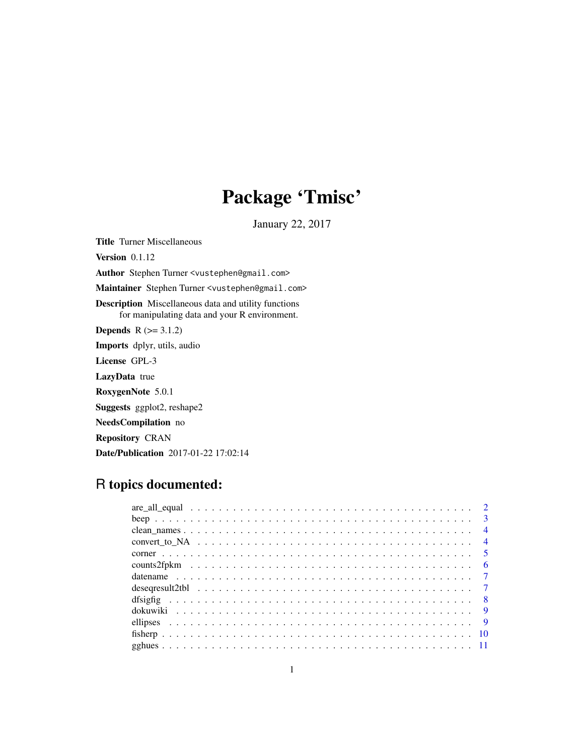# Package 'Tmisc'

January 22, 2017

Title Turner Miscellaneous Version 0.1.12 Author Stephen Turner <vustephen@gmail.com> Maintainer Stephen Turner <vustephen@gmail.com> Description Miscellaneous data and utility functions for manipulating data and your R environment. **Depends**  $R$  ( $>= 3.1.2$ ) Imports dplyr, utils, audio License GPL-3 LazyData true RoxygenNote 5.0.1 Suggests ggplot2, reshape2 NeedsCompilation no Repository CRAN Date/Publication 2017-01-22 17:02:14

# R topics documented: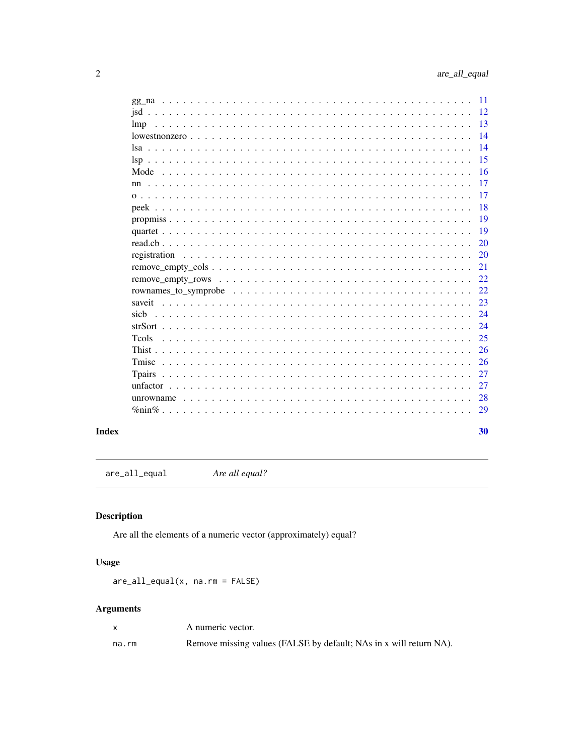<span id="page-1-0"></span>

|                | 11 |
|----------------|----|
|                | 12 |
| lmp            | 13 |
|                | 14 |
|                | 14 |
|                | 15 |
| Mode           | 16 |
| nn             | 17 |
|                | 17 |
|                | 18 |
|                | 19 |
|                | 19 |
|                | 20 |
| registration   | 20 |
|                | 21 |
|                | 22 |
|                | 22 |
| saveit         | 23 |
| sich           | 24 |
|                | 24 |
| <b>T</b> cols  | 25 |
|                | 26 |
|                |    |
| Tmisc          | 26 |
| <b>T</b> pairs | 27 |
|                | 27 |
| unrowname      | 28 |
| $\%$ nin $\%$  | 29 |
|                |    |
|                | 30 |

# **Index**

Are all equal? are\_all\_equal

# Description

Are all the elements of a numeric vector (approximately) equal?

# **Usage**

 $are\_all\_equal(x, na.rm = FALSE)$ 

# **Arguments**

| X     | A numeric vector.                                                  |
|-------|--------------------------------------------------------------------|
| na.rm | Remove missing values (FALSE by default; NAs in x will return NA). |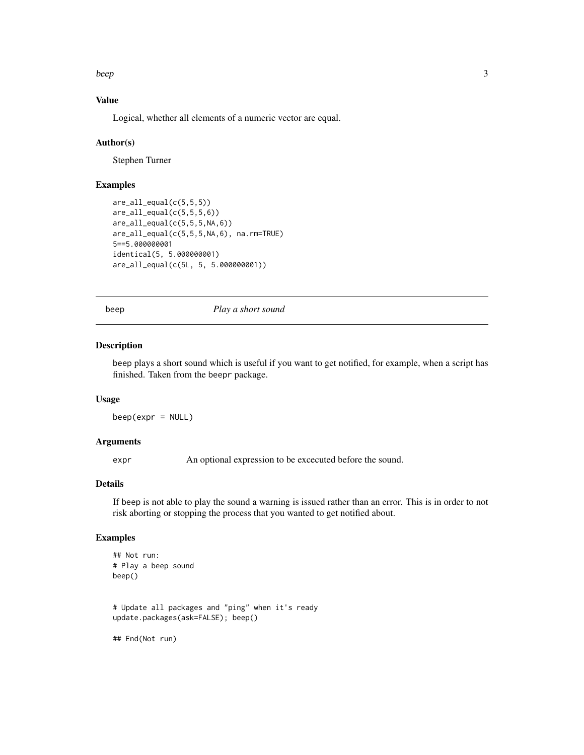<span id="page-2-0"></span>beep 3

# Value

Logical, whether all elements of a numeric vector are equal.

#### Author(s)

Stephen Turner

# Examples

```
are_all_equal(c(5,5,5))
are_all_equal(c(5,5,5,6))
are\_all\_equal(c(5,5,5,NA,6))are_all_equal(c(5,5,5,NA,6), na.rm=TRUE)
5==5.000000001
identical(5, 5.000000001)
are_all_equal(c(5L, 5, 5.000000001))
```
beep *Play a short sound*

#### Description

beep plays a short sound which is useful if you want to get notified, for example, when a script has finished. Taken from the beepr package.

#### Usage

 $beep(expr = NULL)$ 

# Arguments

expr An optional expression to be excecuted before the sound.

#### Details

If beep is not able to play the sound a warning is issued rather than an error. This is in order to not risk aborting or stopping the process that you wanted to get notified about.

#### Examples

```
## Not run:
# Play a beep sound
beep()
# Update all packages and "ping" when it's ready
update.packages(ask=FALSE); beep()
## End(Not run)
```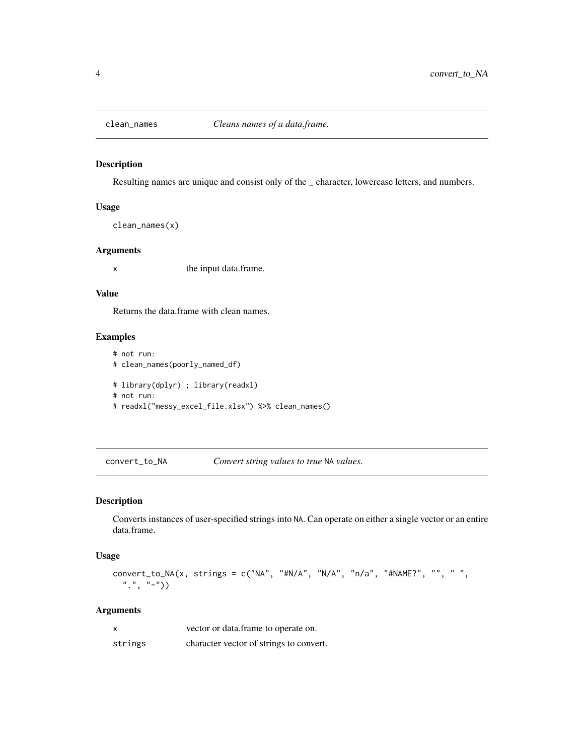<span id="page-3-0"></span>

Resulting names are unique and consist only of the \_ character, lowercase letters, and numbers.

#### Usage

```
clean_names(x)
```
#### Arguments

x the input data.frame.

# Value

Returns the data.frame with clean names.

#### Examples

# not run: # clean\_names(poorly\_named\_df) # library(dplyr) ; library(readxl) # not run: # readxl("messy\_excel\_file.xlsx") %>% clean\_names()

convert\_to\_NA *Convert string values to true* NA *values.*

#### Description

Converts instances of user-specified strings into NA. Can operate on either a single vector or an entire data.frame.

#### Usage

```
convert_to_NA(x, strings = c("NA", "#N/A", "N/A", "n/a", "#NAME?", "", " ",
  ",", "-")
```
#### Arguments

| x       | vector or data.frame to operate on.     |
|---------|-----------------------------------------|
| strings | character vector of strings to convert. |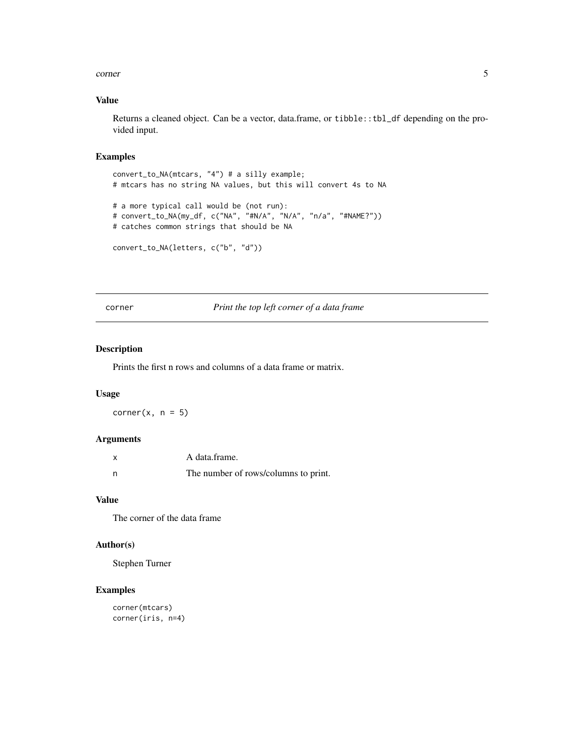#### <span id="page-4-0"></span>corner 5

#### Value

Returns a cleaned object. Can be a vector, data.frame, or tibble::tbl\_df depending on the provided input.

#### Examples

```
convert_to_NA(mtcars, "4") # a silly example;
# mtcars has no string NA values, but this will convert 4s to NA
# a more typical call would be (not run):
# convert_to_NA(my_df, c("NA", "#N/A", "N/A", "n/a", "#NAME?"))
# catches common strings that should be NA
convert_to_NA(letters, c("b", "d"))
```
corner *Print the top left corner of a data frame*

#### Description

Prints the first n rows and columns of a data frame or matrix.

#### Usage

corner $(x, n = 5)$ 

#### Arguments

|   | A data frame.                        |
|---|--------------------------------------|
| n | The number of rows/columns to print. |

# Value

The corner of the data frame

#### Author(s)

Stephen Turner

#### Examples

```
corner(mtcars)
corner(iris, n=4)
```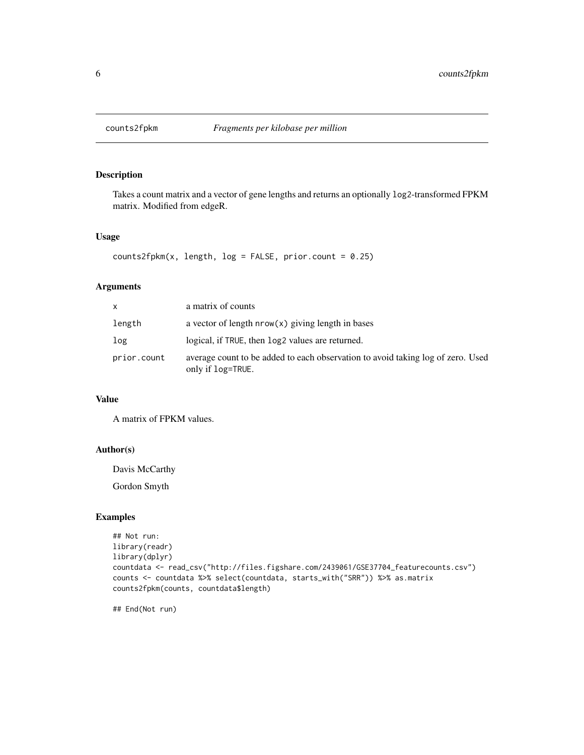<span id="page-5-0"></span>

Takes a count matrix and a vector of gene lengths and returns an optionally log2-transformed FPKM matrix. Modified from edgeR.

#### Usage

```
counts2fpkm(x, length, log = FALSE, prior.count = 0.25)
```
#### Arguments

| X           | a matrix of counts                                                                                   |
|-------------|------------------------------------------------------------------------------------------------------|
| length      | a vector of length $nrow(x)$ giving length in bases                                                  |
| log         | logical, if TRUE, then log2 values are returned.                                                     |
| prior.count | average count to be added to each observation to avoid taking log of zero. Used<br>only if log=TRUE. |

# Value

A matrix of FPKM values.

#### Author(s)

Davis McCarthy

Gordon Smyth

#### Examples

```
## Not run:
library(readr)
library(dplyr)
countdata <- read_csv("http://files.figshare.com/2439061/GSE37704_featurecounts.csv")
counts <- countdata %>% select(countdata, starts_with("SRR")) %>% as.matrix
counts2fpkm(counts, countdata$length)
```
## End(Not run)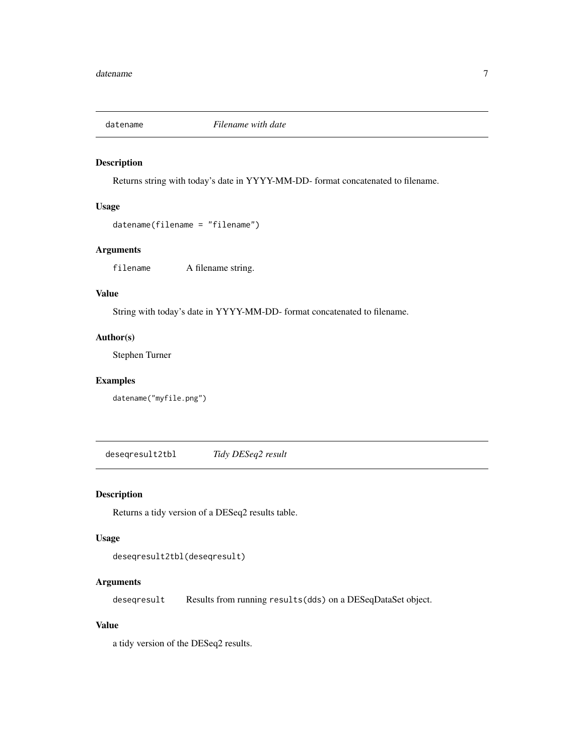<span id="page-6-0"></span>

Returns string with today's date in YYYY-MM-DD- format concatenated to filename.

#### Usage

```
datename(filename = "filename")
```
#### Arguments

filename A filename string.

# Value

String with today's date in YYYY-MM-DD- format concatenated to filename.

#### Author(s)

Stephen Turner

#### Examples

datename("myfile.png")

deseqresult2tbl *Tidy DESeq2 result*

#### Description

Returns a tidy version of a DESeq2 results table.

#### Usage

```
deseqresult2tbl(deseqresult)
```
#### Arguments

deseqresult Results from running results(dds) on a DESeqDataSet object.

# Value

a tidy version of the DESeq2 results.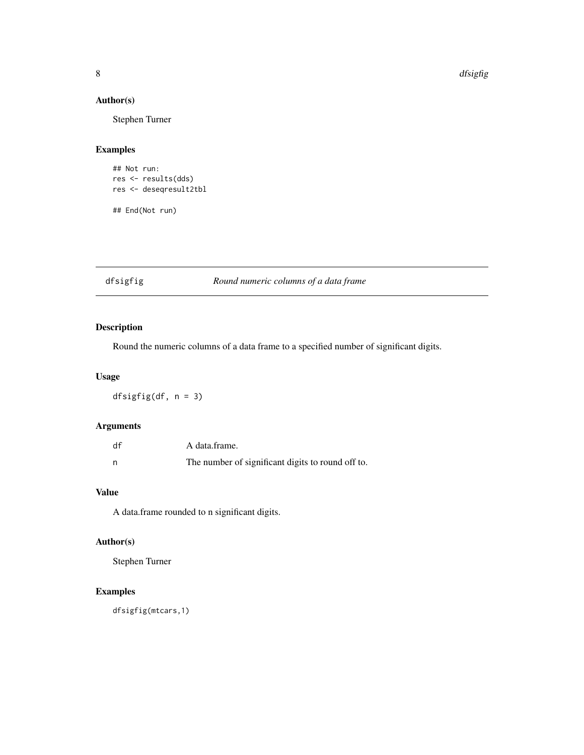#### 8 dfsigfig

# Author(s)

Stephen Turner

#### Examples

```
## Not run:
res <- results(dds)
res <- deseqresult2tbl
```
## End(Not run)

#### dfsigfig *Round numeric columns of a data frame*

# Description

Round the numeric columns of a data frame to a specified number of significant digits.

#### Usage

dfsigfig(df, n = 3)

#### Arguments

| df | A data frame.                                     |
|----|---------------------------------------------------|
|    | The number of significant digits to round off to. |

# Value

A data.frame rounded to n significant digits.

# Author(s)

Stephen Turner

#### Examples

dfsigfig(mtcars,1)

<span id="page-7-0"></span>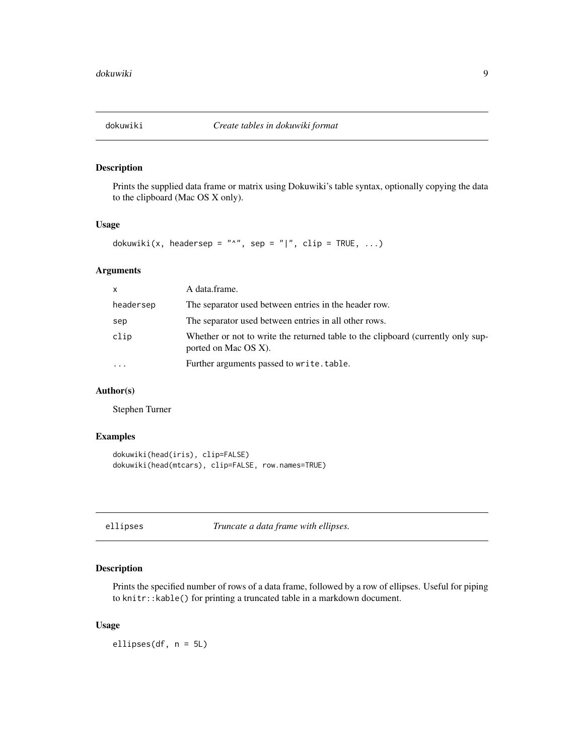<span id="page-8-0"></span>

Prints the supplied data frame or matrix using Dokuwiki's table syntax, optionally copying the data to the clipboard (Mac OS X only).

#### Usage

```
dokuwiki(x, headersep = "^", sep = "|", clip = TRUE, ...)
```
#### Arguments

| $\mathsf{x}$ | A data.frame.                                                                                            |
|--------------|----------------------------------------------------------------------------------------------------------|
| headersep    | The separator used between entries in the header row.                                                    |
| sep          | The separator used between entries in all other rows.                                                    |
| clip         | Whether or not to write the returned table to the clipboard (currently only sup-<br>ported on Mac OS X). |
| $\ddotsc$    | Further arguments passed to write.table.                                                                 |

# Author(s)

Stephen Turner

#### Examples

```
dokuwiki(head(iris), clip=FALSE)
dokuwiki(head(mtcars), clip=FALSE, row.names=TRUE)
```
ellipses *Truncate a data frame with ellipses.*

#### Description

Prints the specified number of rows of a data frame, followed by a row of ellipses. Useful for piping to knitr::kable() for printing a truncated table in a markdown document.

#### Usage

ellipses(df, n = 5L)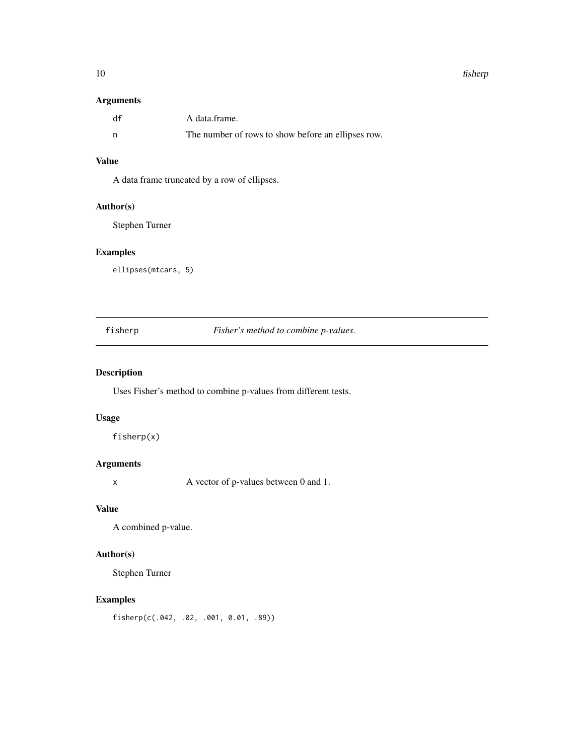#### <span id="page-9-0"></span>10 fisherp

#### Arguments

| df | A data frame.                                      |
|----|----------------------------------------------------|
|    | The number of rows to show before an ellipses row. |

# Value

A data frame truncated by a row of ellipses.

#### Author(s)

Stephen Turner

# Examples

ellipses(mtcars, 5)

fisherp *Fisher's method to combine p-values.*

# Description

Uses Fisher's method to combine p-values from different tests.

#### Usage

fisherp(x)

# Arguments

x A vector of p-values between 0 and 1.

# Value

A combined p-value.

# Author(s)

Stephen Turner

#### Examples

fisherp(c(.042, .02, .001, 0.01, .89))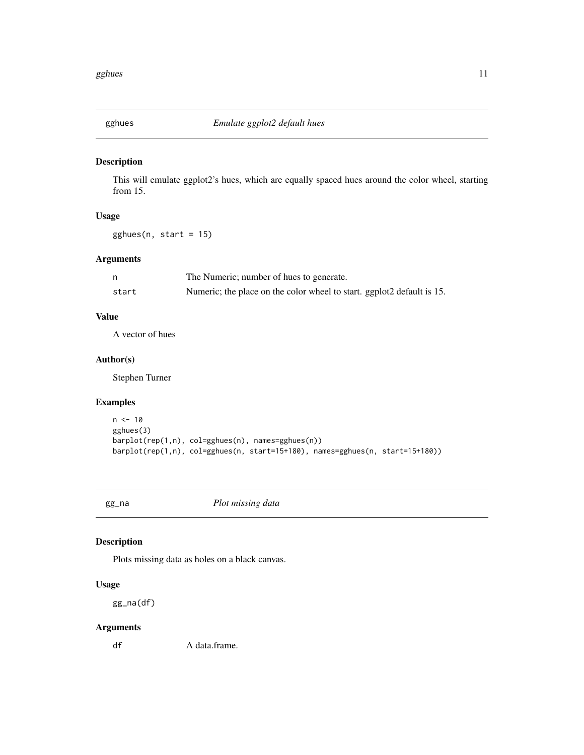<span id="page-10-0"></span>

This will emulate ggplot2's hues, which are equally spaced hues around the color wheel, starting from 15.

## Usage

gghues(n, start = 15)

# Arguments

|       | The Numeric; number of hues to generate.                               |
|-------|------------------------------------------------------------------------|
| start | Numeric; the place on the color wheel to start. ggplot2 default is 15. |

#### Value

A vector of hues

#### Author(s)

Stephen Turner

#### Examples

```
n < - 10gghues(3)
barplot(rep(1,n), col=gghues(n), names=gghues(n))
barplot(rep(1,n), col=gghues(n, start=15+180), names=gghues(n, start=15+180))
```
gg\_na *Plot missing data*

#### Description

Plots missing data as holes on a black canvas.

#### Usage

gg\_na(df)

#### Arguments

df A data.frame.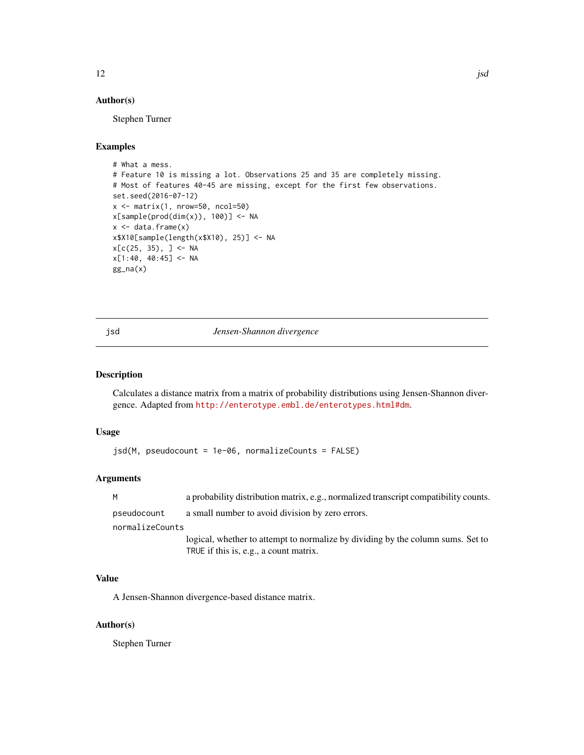# <span id="page-11-0"></span>Author(s)

Stephen Turner

#### Examples

```
# What a mess.
# Feature 10 is missing a lot. Observations 25 and 35 are completely missing.
# Most of features 40-45 are missing, except for the first few observations.
set.seed(2016-07-12)
x \le - matrix(1, nrow=50, ncol=50)
x[sample(pred(dim(x)), 100)] \leftarrow NAx \leftarrow \text{data}.frame(x)x$X10[sample(length(x$X10), 25)] <- NA
x[C(25, 35), ] \leftarrow NAx[1:40, 40:45] <- NA
gg_na(x)
```
jsd *Jensen-Shannon divergence*

#### Description

Calculates a distance matrix from a matrix of probability distributions using Jensen-Shannon divergence. Adapted from <http://enterotype.embl.de/enterotypes.html#dm>.

#### Usage

jsd(M, pseudocount = 1e-06, normalizeCounts = FALSE)

#### Arguments

| M               | a probability distribution matrix, e.g., normalized transcript compatibility counts. |
|-----------------|--------------------------------------------------------------------------------------|
| pseudocount     | a small number to avoid division by zero errors.                                     |
| normalizeCounts |                                                                                      |
|                 | logical, whether to attempt to normalize by dividing by the column sums. Set to      |
|                 | TRUE if this is, e.g., a count matrix.                                               |

#### Value

A Jensen-Shannon divergence-based distance matrix.

#### Author(s)

Stephen Turner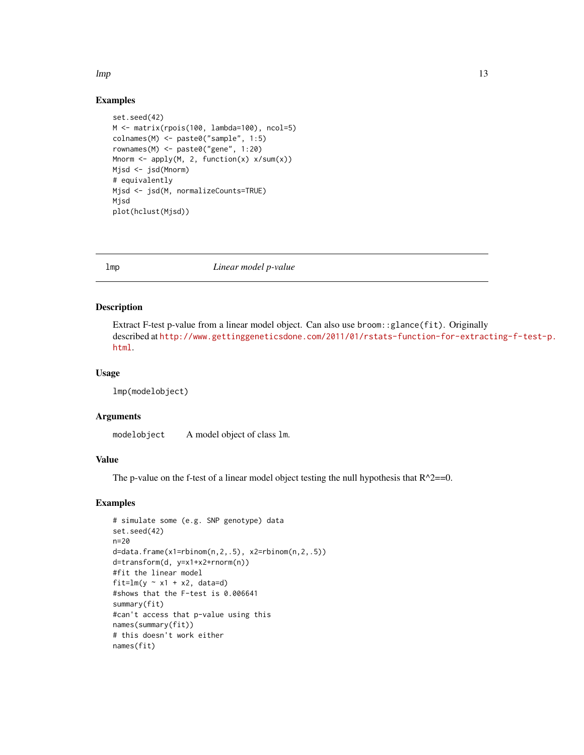#### <span id="page-12-0"></span> $l$ mp and the state of the state of the state of the state of the state of the state of the state of the state of the state of the state of the state of the state of the state of the state of the state of the state of the

#### Examples

```
set.seed(42)
M <- matrix(rpois(100, lambda=100), ncol=5)
colnames(M) <- paste0("sample", 1:5)
rownames(M) <- paste0("gene", 1:20)
Mnorm <- apply(M, 2, function(x) x/sum(x))
Mjsd <- jsd(Mnorm)
# equivalently
Mjsd <- jsd(M, normalizeCounts=TRUE)
Mjsd
plot(hclust(Mjsd))
```
lmp *Linear model p-value*

#### Description

Extract F-test p-value from a linear model object. Can also use broom::glance(fit). Originally described at [http://www.gettinggeneticsdone.com/2011/01/rstats-function-for-extract](http://www.gettinggeneticsdone.com/2011/01/rstats-function-for-extracting-f-test-p.html)ing-f-test-p. [html](http://www.gettinggeneticsdone.com/2011/01/rstats-function-for-extracting-f-test-p.html).

#### Usage

```
lmp(modelobject)
```
#### Arguments

modelobject A model object of class lm.

#### Value

The p-value on the f-test of a linear model object testing the null hypothesis that  $R^2=0$ .

#### Examples

```
# simulate some (e.g. SNP genotype) data
set.seed(42)
n=20
d=data.frame(x1=rbinom(n,2,.5), x2=rbinom(n,2,.5))
d=transform(d, y=x1+x2+rnorm(n))
#fit the linear model
fit=lm(y \sim x1 + x2, data=d)
#shows that the F-test is 0.006641
summary(fit)
#can't access that p-value using this
names(summary(fit))
# this doesn't work either
names(fit)
```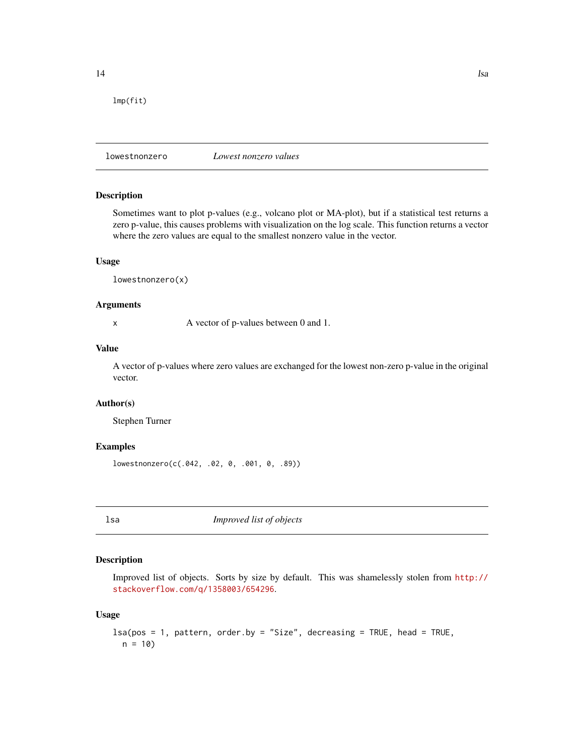<span id="page-13-0"></span>lmp(fit)

lowestnonzero *Lowest nonzero values*

#### Description

Sometimes want to plot p-values (e.g., volcano plot or MA-plot), but if a statistical test returns a zero p-value, this causes problems with visualization on the log scale. This function returns a vector where the zero values are equal to the smallest nonzero value in the vector.

#### Usage

lowestnonzero(x)

#### Arguments

x A vector of p-values between 0 and 1.

#### Value

A vector of p-values where zero values are exchanged for the lowest non-zero p-value in the original vector.

# Author(s)

Stephen Turner

#### Examples

lowestnonzero(c(.042, .02, 0, .001, 0, .89))

lsa *Improved list of objects*

#### Description

Improved list of objects. Sorts by size by default. This was shamelessly stolen from [http://](http://stackoverflow.com/q/1358003/654296) [stackoverflow.com/q/1358003/654296](http://stackoverflow.com/q/1358003/654296).

#### Usage

```
lsa(pos = 1, pattern, order.by = "Size", decreasing = TRUE, head = TRUE,
 n = 10
```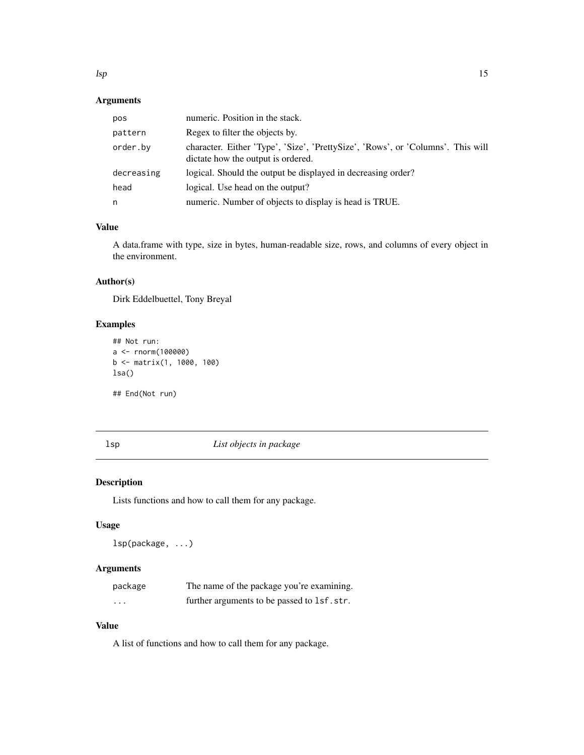# <span id="page-14-0"></span>Arguments

| pos        | numeric. Position in the stack.                                                                                       |
|------------|-----------------------------------------------------------------------------------------------------------------------|
| pattern    | Regex to filter the objects by.                                                                                       |
| order.by   | character. Either 'Type', 'Size', 'PrettySize', 'Rows', or 'Columns'. This will<br>dictate how the output is ordered. |
| decreasing | logical. Should the output be displayed in decreasing order?                                                          |
| head       | logical. Use head on the output?                                                                                      |
| n          | numeric. Number of objects to display is head is TRUE.                                                                |

# Value

A data.frame with type, size in bytes, human-readable size, rows, and columns of every object in the environment.

#### Author(s)

Dirk Eddelbuettel, Tony Breyal

#### Examples

```
## Not run:
a <- rnorm(100000)
b <- matrix(1, 1000, 100)
lsa()
```
## End(Not run)

lsp *List objects in package*

# Description

Lists functions and how to call them for any package.

#### Usage

lsp(package, ...)

# Arguments

| package                 | The name of the package you're examining.  |
|-------------------------|--------------------------------------------|
| $\cdot$ $\cdot$ $\cdot$ | further arguments to be passed to 1sf.str. |

# Value

A list of functions and how to call them for any package.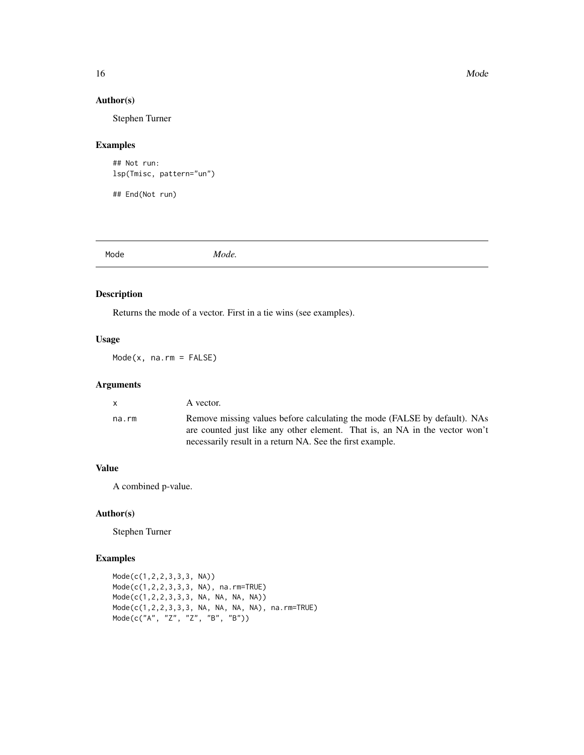#### Author(s)

Stephen Turner

#### Examples

```
## Not run:
lsp(Tmisc, pattern="un")
```
## End(Not run)

Mode *Mode.*

#### Description

Returns the mode of a vector. First in a tie wins (see examples).

#### Usage

Mode(x, na.rm = FALSE)

#### Arguments

| $\mathsf{x}$ | A vector.                                                                                                                                                                                                             |
|--------------|-----------------------------------------------------------------------------------------------------------------------------------------------------------------------------------------------------------------------|
| na.rm        | Remove missing values before calculating the mode (FALSE by default). NAs<br>are counted just like any other element. That is, an NA in the vector won't<br>necessarily result in a return NA. See the first example. |

#### Value

A combined p-value.

#### Author(s)

Stephen Turner

#### Examples

```
Mode(c(1,2,2,3,3,3, NA))
Mode(c(1,2,2,3,3,3, NA), na.rm=TRUE)
Mode(c(1,2,2,3,3,3, NA, NA, NA, NA))
Mode(c(1,2,2,3,3,3, NA, NA, NA, NA), na.rm=TRUE)
Mode(c("A", "Z", "Z", "B", "B"))
```
<span id="page-15-0"></span>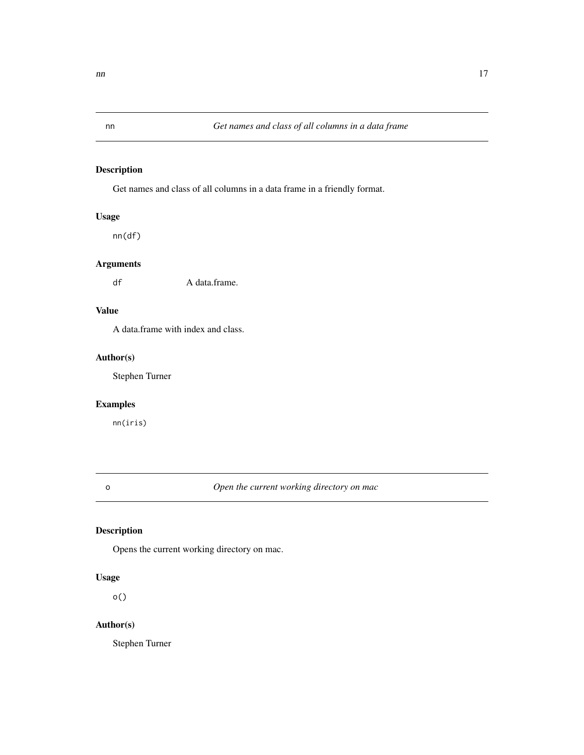<span id="page-16-0"></span>

Get names and class of all columns in a data frame in a friendly format.

# Usage

nn(df)

# Arguments

df A data.frame.

# Value

A data.frame with index and class.

#### Author(s)

Stephen Turner

# Examples

nn(iris)

o *Open the current working directory on mac*

#### Description

Opens the current working directory on mac.

# Usage

o()

# Author(s)

Stephen Turner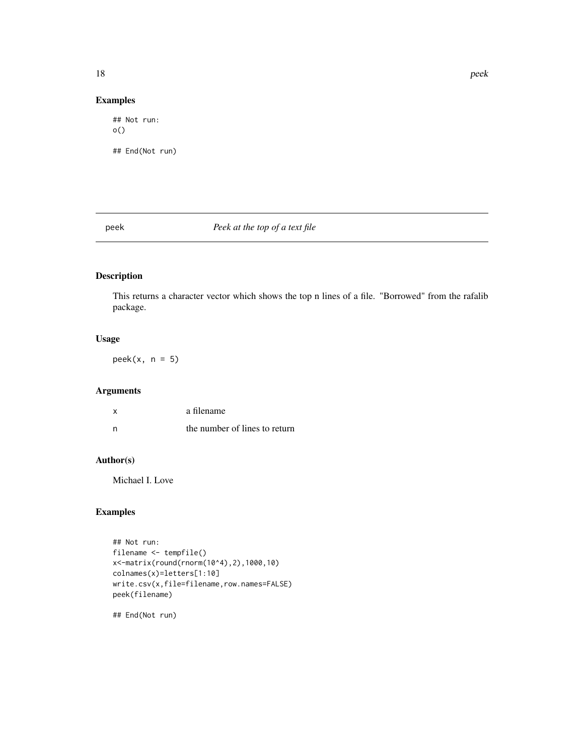# <span id="page-17-0"></span>Examples

## Not run: o() ## End(Not run)

#### peek *Peek at the top of a text file*

# Description

This returns a character vector which shows the top n lines of a file. "Borrowed" from the rafalib package.

#### Usage

 $peek(x, n = 5)$ 

# Arguments

| x | a filename                    |
|---|-------------------------------|
| n | the number of lines to return |

# Author(s)

Michael I. Love

# Examples

```
## Not run:
filename <- tempfile()
x<-matrix(round(rnorm(10^4),2),1000,10)
colnames(x)=letters[1:10]
write.csv(x,file=filename,row.names=FALSE)
peek(filename)
```
## End(Not run)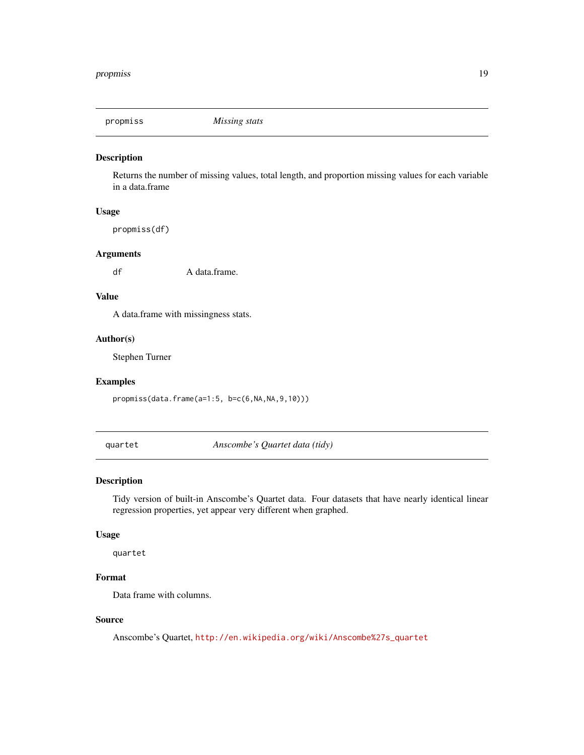<span id="page-18-0"></span>

Returns the number of missing values, total length, and proportion missing values for each variable in a data.frame

#### Usage

propmiss(df)

#### Arguments

df A data.frame.

#### Value

A data.frame with missingness stats.

#### Author(s)

Stephen Turner

#### Examples

propmiss(data.frame(a=1:5, b=c(6,NA,NA,9,10)))

quartet *Anscombe's Quartet data (tidy)*

#### Description

Tidy version of built-in Anscombe's Quartet data. Four datasets that have nearly identical linear regression properties, yet appear very different when graphed.

#### Usage

quartet

# Format

Data frame with columns.

#### Source

Anscombe's Quartet, [http://en.wikipedia.org/wiki/Anscombe%27s\\_quartet](http://en.wikipedia.org/wiki/Anscombe%27s_quartet)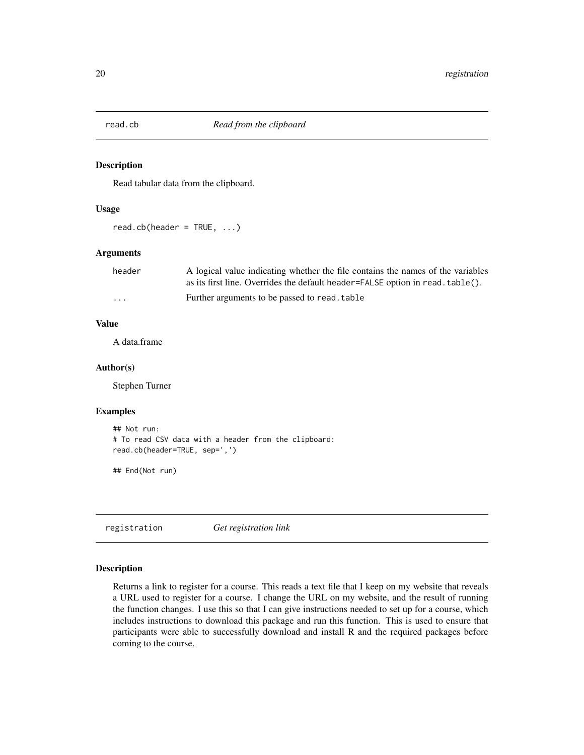<span id="page-19-0"></span>

Read tabular data from the clipboard.

#### Usage

read.cb(header =  $TRUE$ , ...)

#### Arguments

| header   | A logical value indicating whether the file contains the names of the variables |
|----------|---------------------------------------------------------------------------------|
|          | as its first line. Overrides the default header=FALSE option in read. table().  |
| $\cdots$ | Further arguments to be passed to read. table                                   |

#### Value

A data.frame

#### Author(s)

Stephen Turner

#### Examples

```
## Not run:
# To read CSV data with a header from the clipboard:
read.cb(header=TRUE, sep=',')
```
## End(Not run)

registration *Get registration link*

#### Description

Returns a link to register for a course. This reads a text file that I keep on my website that reveals a URL used to register for a course. I change the URL on my website, and the result of running the function changes. I use this so that I can give instructions needed to set up for a course, which includes instructions to download this package and run this function. This is used to ensure that participants were able to successfully download and install R and the required packages before coming to the course.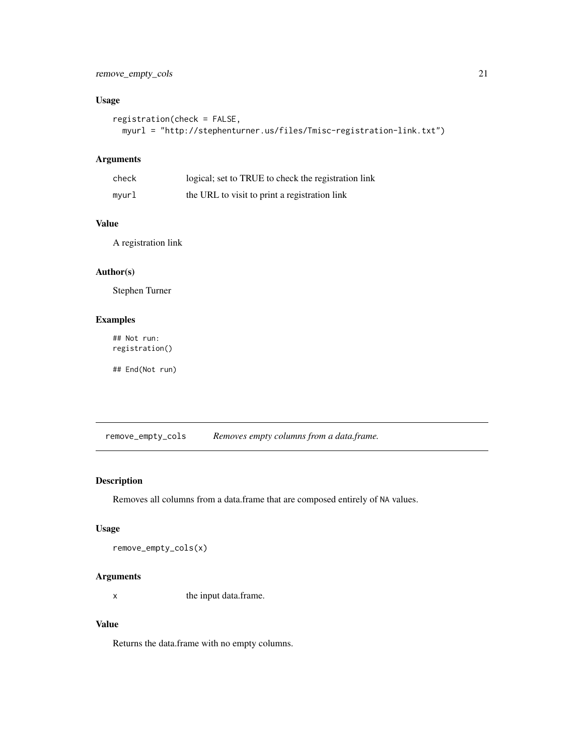#### <span id="page-20-0"></span>remove\_empty\_cols 21

#### Usage

```
registration(check = FALSE,
 myurl = "http://stephenturner.us/files/Tmisc-registration-link.txt")
```
#### Arguments

| check | logical; set to TRUE to check the registration link |
|-------|-----------------------------------------------------|
| mvurl | the URL to visit to print a registration link       |

#### Value

A registration link

#### Author(s)

Stephen Turner

#### Examples

## Not run: registration()

## End(Not run)

remove\_empty\_cols *Removes empty columns from a data.frame.*

#### Description

Removes all columns from a data.frame that are composed entirely of NA values.

#### Usage

```
remove_empty_cols(x)
```
#### Arguments

x the input data.frame.

# Value

Returns the data.frame with no empty columns.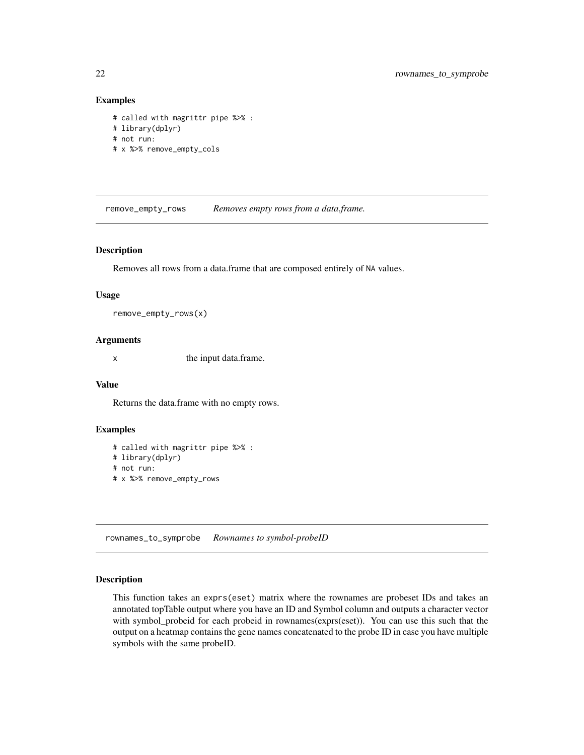#### <span id="page-21-0"></span>Examples

```
# called with magrittr pipe %>% :
# library(dplyr)
# not run:
# x %>% remove_empty_cols
```
remove\_empty\_rows *Removes empty rows from a data.frame.*

#### Description

Removes all rows from a data.frame that are composed entirely of NA values.

#### Usage

```
remove_empty_rows(x)
```
#### Arguments

x the input data.frame.

#### Value

Returns the data.frame with no empty rows.

#### Examples

# called with magrittr pipe %>% : # library(dplyr) # not run: # x %>% remove\_empty\_rows

rownames\_to\_symprobe *Rownames to symbol-probeID*

#### Description

This function takes an exprs(eset) matrix where the rownames are probeset IDs and takes an annotated topTable output where you have an ID and Symbol column and outputs a character vector with symbol\_probeid for each probeid in rownames(exprs(eset)). You can use this such that the output on a heatmap contains the gene names concatenated to the probe ID in case you have multiple symbols with the same probeID.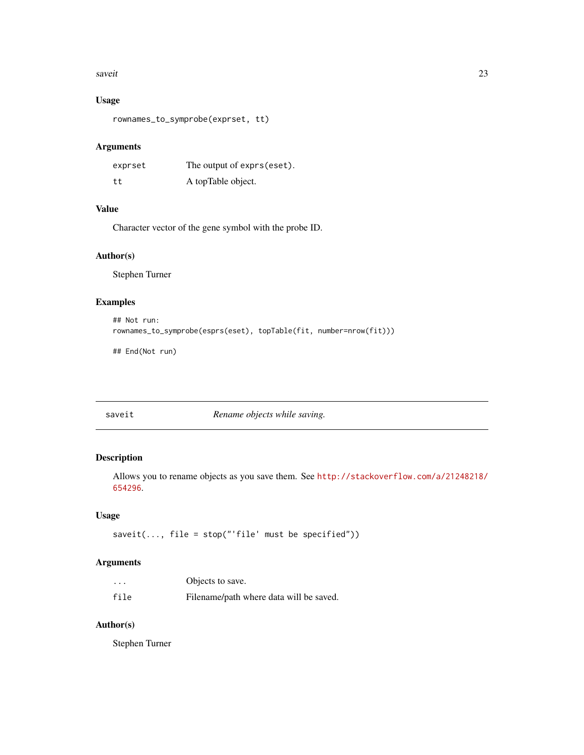#### <span id="page-22-0"></span>saveit 23

#### Usage

```
rownames_to_symprobe(exprset, tt)
```
#### Arguments

| exprset | The output of exprs (eset). |
|---------|-----------------------------|
| tt      | A topTable object.          |

#### Value

Character vector of the gene symbol with the probe ID.

#### Author(s)

Stephen Turner

#### Examples

```
## Not run:
rownames_to_symprobe(esprs(eset), topTable(fit, number=nrow(fit)))
```
## End(Not run)

saveit *Rename objects while saving.*

#### Description

Allows you to rename objects as you save them. See [http://stackoverflow.com/a/21248218/](http://stackoverflow.com/a/21248218/654296) [654296](http://stackoverflow.com/a/21248218/654296).

#### Usage

saveit(..., file = stop("'file' must be specified"))

#### Arguments

| $\cdots$ | Objects to save.                        |
|----------|-----------------------------------------|
| file     | Filename/path where data will be saved. |

# Author(s)

Stephen Turner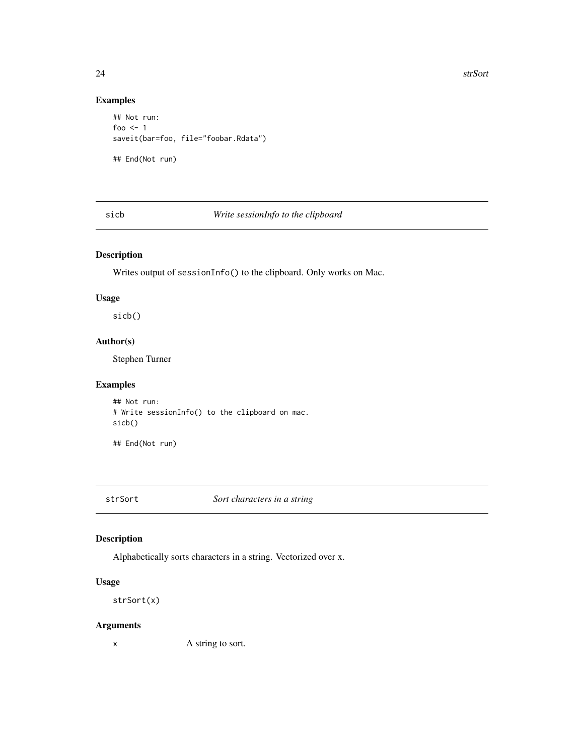# Examples

```
## Not run:
foo <-1saveit(bar=foo, file="foobar.Rdata")
## End(Not run)
```
sicb *Write sessionInfo to the clipboard*

# Description

Writes output of sessionInfo() to the clipboard. Only works on Mac.

#### Usage

sicb()

# Author(s)

Stephen Turner

#### Examples

## Not run: # Write sessionInfo() to the clipboard on mac. sicb()

## End(Not run)

strSort *Sort characters in a string*

#### Description

Alphabetically sorts characters in a string. Vectorized over x.

#### Usage

strSort(x)

#### Arguments

x A string to sort.

<span id="page-23-0"></span>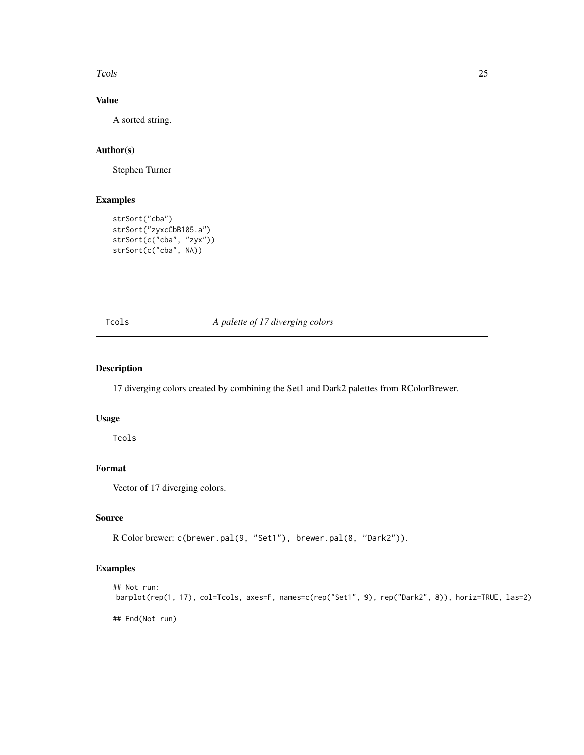<span id="page-24-0"></span>Tcols 25

# Value

A sorted string.

# Author(s)

Stephen Turner

# Examples

```
strSort("cba")
strSort("zyxcCbB105.a")
strSort(c("cba", "zyx"))
strSort(c("cba", NA))
```
### Tcols *A palette of 17 diverging colors*

# Description

17 diverging colors created by combining the Set1 and Dark2 palettes from RColorBrewer.

#### Usage

Tcols

# Format

Vector of 17 diverging colors.

#### Source

R Color brewer: c(brewer.pal(9, "Set1"), brewer.pal(8, "Dark2")).

#### Examples

```
## Not run:
barplot(rep(1, 17), col=Tcols, axes=F, names=c(rep("Set1", 9), rep("Dark2", 8)), horiz=TRUE, las=2)
## End(Not run)
```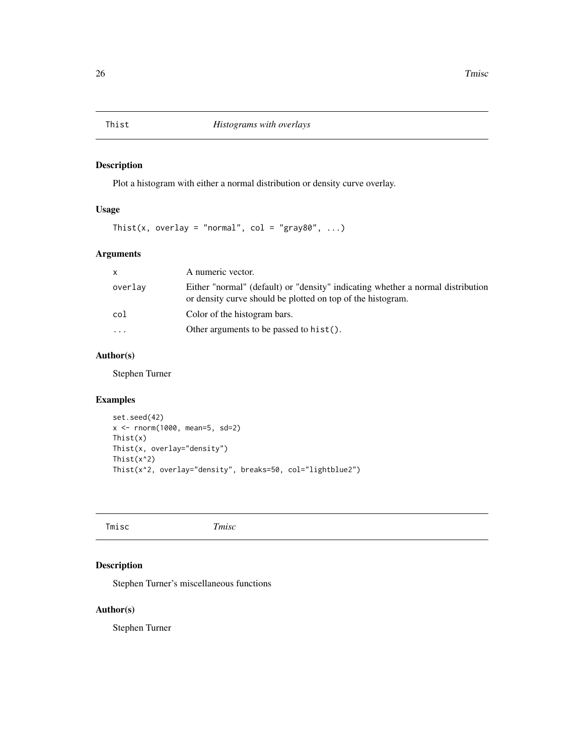<span id="page-25-0"></span>

Plot a histogram with either a normal distribution or density curve overlay.

# Usage

Thist(x, overlay = "normal",  $col = "gray80", ...$ )

# Arguments

| X         | A numeric vector.                                                                                                                              |
|-----------|------------------------------------------------------------------------------------------------------------------------------------------------|
| overlay   | Either "normal" (default) or "density" indicating whether a normal distribution<br>or density curve should be plotted on top of the histogram. |
| col       | Color of the histogram bars.                                                                                                                   |
| $\ddotsc$ | Other arguments to be passed to $hist()$ .                                                                                                     |

# Author(s)

Stephen Turner

# Examples

```
set.seed(42)
x <- rnorm(1000, mean=5, sd=2)
Thist(x)
Thist(x, overlay="density")
Thist(x^2)
Thist(x^2, overlay="density", breaks=50, col="lightblue2")
```
Tmisc *Tmisc*

# Description

Stephen Turner's miscellaneous functions

#### Author(s)

Stephen Turner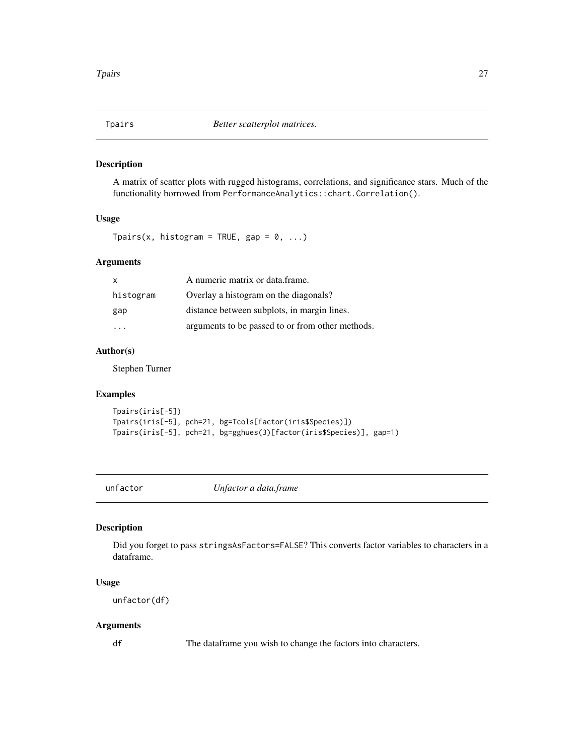<span id="page-26-0"></span>

A matrix of scatter plots with rugged histograms, correlations, and significance stars. Much of the functionality borrowed from PerformanceAnalytics::chart.Correlation().

#### Usage

Tpairs(x, histogram = TRUE, gap =  $0, ...$ )

#### Arguments

|           | A numeric matrix or data frame.                  |
|-----------|--------------------------------------------------|
| histogram | Overlay a histogram on the diagonals?            |
| gap       | distance between subplots, in margin lines.      |
| .         | arguments to be passed to or from other methods. |

# Author(s)

Stephen Turner

#### Examples

```
Tpairs(iris[-5])
Tpairs(iris[-5], pch=21, bg=Tcols[factor(iris$Species)])
Tpairs(iris[-5], pch=21, bg=gghues(3)[factor(iris$Species)], gap=1)
```
unfactor *Unfactor a data.frame*

#### Description

Did you forget to pass stringsAsFactors=FALSE? This converts factor variables to characters in a dataframe.

#### Usage

unfactor(df)

#### Arguments

df The dataframe you wish to change the factors into characters.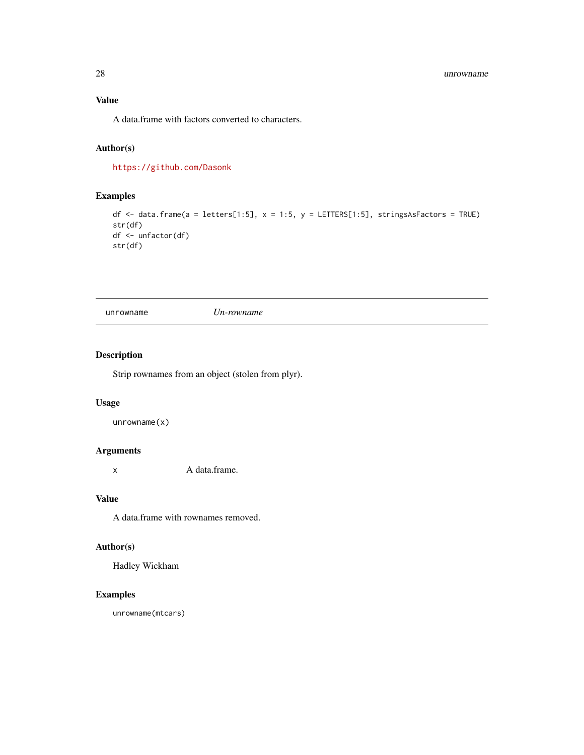#### <span id="page-27-0"></span>28 unrowname

# Value

A data.frame with factors converted to characters.

# Author(s)

<https://github.com/Dasonk>

# Examples

```
df \le data.frame(a = letters[1:5], x = 1:5, y = LETTERS[1:5], stringsAsFactors = TRUE)
str(df)
df <- unfactor(df)
str(df)
```
unrowname *Un-rowname*

#### Description

Strip rownames from an object (stolen from plyr).

#### Usage

unrowname(x)

#### Arguments

x A data.frame.

# Value

A data.frame with rownames removed.

#### Author(s)

Hadley Wickham

#### Examples

unrowname(mtcars)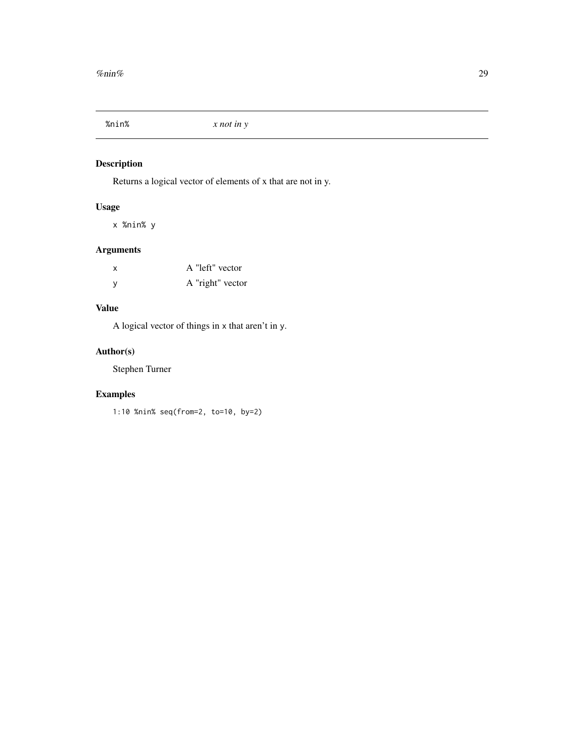<span id="page-28-0"></span>

Returns a logical vector of elements of x that are not in y.

#### Usage

x %nin% y

#### Arguments

| x | A "left" vector  |
|---|------------------|
| у | A "right" vector |

# Value

A logical vector of things in x that aren't in y.

# Author(s)

Stephen Turner

# Examples

1:10 %nin% seq(from=2, to=10, by=2)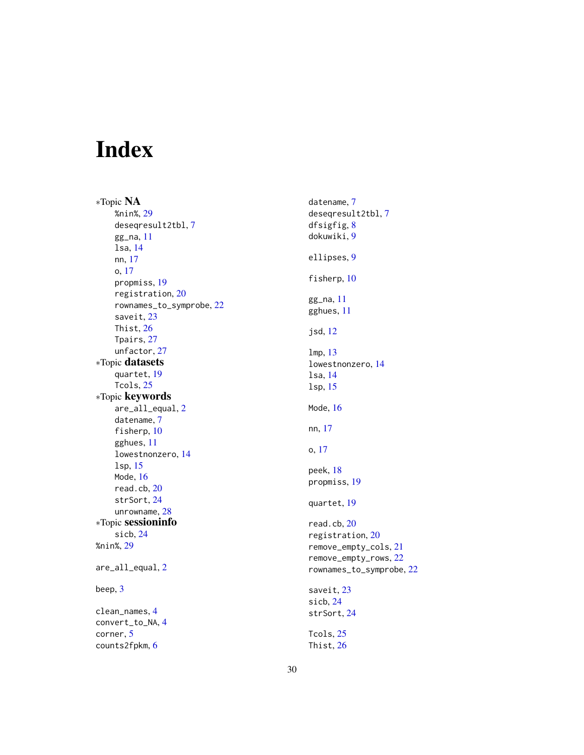# <span id="page-29-0"></span>Index

∗Topic NA %nin%, [29](#page-28-0) deseqresult2tbl, [7](#page-6-0) gg\_na, [11](#page-10-0) lsa, [14](#page-13-0) nn, [17](#page-16-0) o, [17](#page-16-0) propmiss, [19](#page-18-0) registration, [20](#page-19-0) rownames\_to\_symprobe, [22](#page-21-0) saveit, [23](#page-22-0) Thist, [26](#page-25-0) Tpairs, [27](#page-26-0) unfactor, [27](#page-26-0) ∗Topic datasets quartet, [19](#page-18-0) Tcols, [25](#page-24-0) ∗Topic keywords are\_all\_equal, [2](#page-1-0) datename, [7](#page-6-0) fisherp, [10](#page-9-0) gghues, [11](#page-10-0) lowestnonzero, [14](#page-13-0) lsp, [15](#page-14-0) Mode, [16](#page-15-0) read.cb, [20](#page-19-0) strSort, [24](#page-23-0) unrowname, [28](#page-27-0) ∗Topic sessioninfo sicb, [24](#page-23-0) %nin%, [29](#page-28-0) are\_all\_equal, [2](#page-1-0) beep, [3](#page-2-0) clean\_names, [4](#page-3-0) convert\_to\_NA, [4](#page-3-0) corner, [5](#page-4-0)

counts2fpkm, [6](#page-5-0)

datename, [7](#page-6-0) deseqresult2tbl, [7](#page-6-0) dfsigfig, [8](#page-7-0) dokuwiki, [9](#page-8-0) ellipses, [9](#page-8-0) fisherp, [10](#page-9-0) gg\_na, [11](#page-10-0) gghues, [11](#page-10-0) jsd, [12](#page-11-0) lmp, [13](#page-12-0) lowestnonzero, [14](#page-13-0) lsa, [14](#page-13-0) lsp, [15](#page-14-0) Mode, [16](#page-15-0) nn, [17](#page-16-0) o, [17](#page-16-0) peek, [18](#page-17-0) propmiss, [19](#page-18-0) quartet, [19](#page-18-0) read.cb, [20](#page-19-0) registration, [20](#page-19-0) remove\_empty\_cols, [21](#page-20-0) remove\_empty\_rows, [22](#page-21-0) rownames\_to\_symprobe, [22](#page-21-0) saveit, [23](#page-22-0) sicb, [24](#page-23-0) strSort, [24](#page-23-0) Tcols, [25](#page-24-0) Thist, [26](#page-25-0)